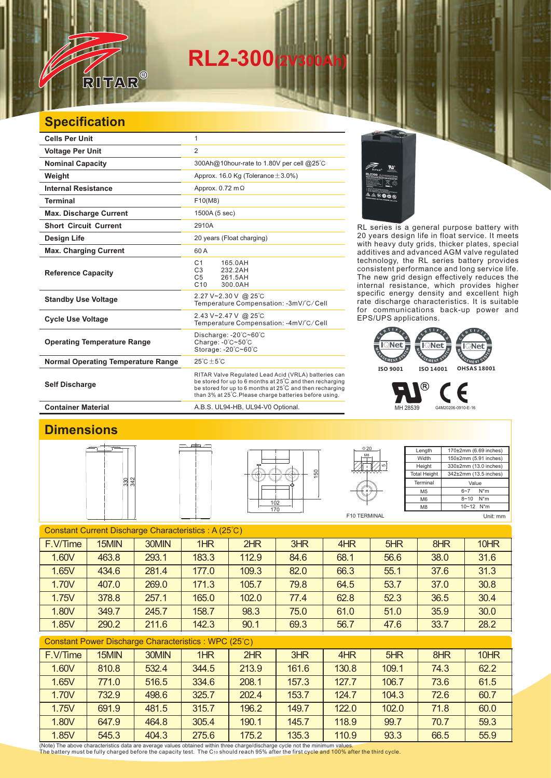# **RL2-300(2V300Ah)**

## **Specification**

RITAR

 $^{\circledR}$ 

| <b>Cells Per Unit</b>                     | 1                                                                                                                                                                                                                                      |  |  |  |  |
|-------------------------------------------|----------------------------------------------------------------------------------------------------------------------------------------------------------------------------------------------------------------------------------------|--|--|--|--|
| <b>Voltage Per Unit</b>                   | $\overline{2}$                                                                                                                                                                                                                         |  |  |  |  |
| <b>Nominal Capacity</b>                   | 300Ah@10hour-rate to 1.80V per cell @25°C                                                                                                                                                                                              |  |  |  |  |
| Weight                                    | Approx. 16.0 Kg (Tolerance $\pm$ 3.0%)                                                                                                                                                                                                 |  |  |  |  |
| <b>Internal Resistance</b>                | Approx. $0.72 \text{ m}\Omega$                                                                                                                                                                                                         |  |  |  |  |
| <b>Terminal</b>                           | F10(M8)                                                                                                                                                                                                                                |  |  |  |  |
| <b>Max. Discharge Current</b>             | 1500A (5 sec)                                                                                                                                                                                                                          |  |  |  |  |
| <b>Short Circuit Current</b>              | 2910A                                                                                                                                                                                                                                  |  |  |  |  |
| Design Life                               | 20 years (Float charging)                                                                                                                                                                                                              |  |  |  |  |
| <b>Max. Charging Current</b>              | 60 A                                                                                                                                                                                                                                   |  |  |  |  |
| <b>Reference Capacity</b>                 | C <sub>1</sub><br>165.0AH<br>C3<br>232.2AH<br>C <sub>5</sub><br>261.5AH<br>C10<br>300.0AH                                                                                                                                              |  |  |  |  |
| <b>Standby Use Voltage</b>                | 2.27 V~2.30 V @ 25°C<br>Temperature Compensation: -3mV/°C/Cell                                                                                                                                                                         |  |  |  |  |
| <b>Cycle Use Voltage</b>                  | 2.43 V~2.47 V @ 25 °C<br>Temperature Compensation: -4mV/°C/Cell                                                                                                                                                                        |  |  |  |  |
| <b>Operating Temperature Range</b>        | Discharge: -20°C~60°C<br>Charge: $-0^\circ$ C $-50^\circ$ C<br>Storage: -20°C~60°C                                                                                                                                                     |  |  |  |  |
| <b>Normal Operating Temperature Range</b> | $25^{\circ}$ C + 5 $^{\circ}$ C                                                                                                                                                                                                        |  |  |  |  |
| <b>Self Discharge</b>                     | RITAR Valve Regulated Lead Acid (VRLA) batteries can<br>be stored for up to 6 months at 25°C and then recharging<br>be stored for up to 6 months at 25°C and then recharging<br>than 3% at 25°C. Please charge batteries before using. |  |  |  |  |

RL series is a general purpose battery with 20 years design life in float service. It meets with heavy duty grids, thicker plates, special additives and advanced AGM valve regulated technology, the RL series battery provides consistent performance and long service life. The new grid design effectively reduces the internal resistance, which provides higher specific energy density and excellent high rate discharge characteristics. It is suitable for communications back-up power and EPS/UPS applications.



MH 28539 G4M20206-0910-E-16

#### **Container Material Container Material A.B.S. UL94-HB, UL94-V0 Optional.**

### **Dimensions**







| Length              | 170±2mm (6.69 inches)      |  |  |  |  |  |
|---------------------|----------------------------|--|--|--|--|--|
| Width               | 150±2mm (5.91 inches)      |  |  |  |  |  |
| Height              | 330±2mm (13.0 inches)      |  |  |  |  |  |
| <b>Total Height</b> | 342±2mm (13.5 inches)      |  |  |  |  |  |
| Terminal            | Value                      |  |  |  |  |  |
| M <sub>5</sub>      | $N^*m$<br>$6 - 7$          |  |  |  |  |  |
| M <sub>6</sub>      | $N^*m$<br>$8 - 10$         |  |  |  |  |  |
| M8                  | $10 - 12$ N <sup>*</sup> m |  |  |  |  |  |

F10 TERMINAL

Mε  $\Phi$  20

5

Unit: mm

| Constant Current Discharge Characteristics: A (25°C) |       |       |       |       |      |      |      |      |      |
|------------------------------------------------------|-------|-------|-------|-------|------|------|------|------|------|
| F.V/Time                                             | 15MIN | 30MIN | 1HR   | 2HR   | 3HR  | 4HR  | 5HR  | 8HR  | 10HR |
| 1.60V                                                | 463.8 | 293.1 | 183.3 | 112.9 | 84.6 | 68.1 | 56.6 | 38.0 | 31.6 |
| 1.65V                                                | 434.6 | 281.4 | 177.0 | 109.3 | 82.0 | 66.3 | 55.1 | 37.6 | 31.3 |
| 1.70V                                                | 407.0 | 269.0 | 171.3 | 105.7 | 79.8 | 64.5 | 53.7 | 37.0 | 30.8 |
| 1.75V                                                | 378.8 | 257.1 | 165.0 | 102.0 | 77.4 | 62.8 | 52.3 | 36.5 | 30.4 |
| 1.80V                                                | 349.7 | 245.7 | 158.7 | 98.3  | 75.0 | 61.0 | 51.0 | 35.9 | 30.0 |
| 1.85V                                                | 290.2 | 211.6 | 142.3 | 90.1  | 69.3 | 56.7 | 47.6 | 33.7 | 28.2 |
|                                                      |       |       |       |       |      |      |      |      |      |

|  | Constant Power Discharge Characteristics : WPC (25°C) |
|--|-------------------------------------------------------|
|--|-------------------------------------------------------|

| F.V/Time | 15MIN | 30MIN | 1HR   | 2HR   | 3HR   | 4HR   | 5HR   | 8HR  | 10HR |
|----------|-------|-------|-------|-------|-------|-------|-------|------|------|
| 1.60V    | 810.8 | 532.4 | 344.5 | 213.9 | 161.6 | 130.8 | 109.1 | 74.3 | 62.2 |
| 1.65V    | 771.0 | 516.5 | 334.6 | 208.1 | 157.3 | 127.7 | 106.7 | 73.6 | 61.5 |
| 1.70V    | 732.9 | 498.6 | 325.7 | 202.4 | 153.7 | 124.7 | 104.3 | 72.6 | 60.7 |
| 1.75V    | 691.9 | 481.5 | 315.7 | 196.2 | 149.7 | 122.0 | 102.0 | 71.8 | 60.0 |
| 1.80V    | 647.9 | 464.8 | 305.4 | 190.1 | 145.7 | 118.9 | 99.7  | 70.7 | 59.3 |
| 1.85V    | 545.3 | 404.3 | 275.6 | 175.2 | 135.3 | 110.9 | 93.3  | 66.5 | 55.9 |

(Note) The above characteristics data are average values obtained within three charge/discharge cycle not the minimum values.<br>The battery must be fully charged before the capacity test. The C10 should reach 95% after the